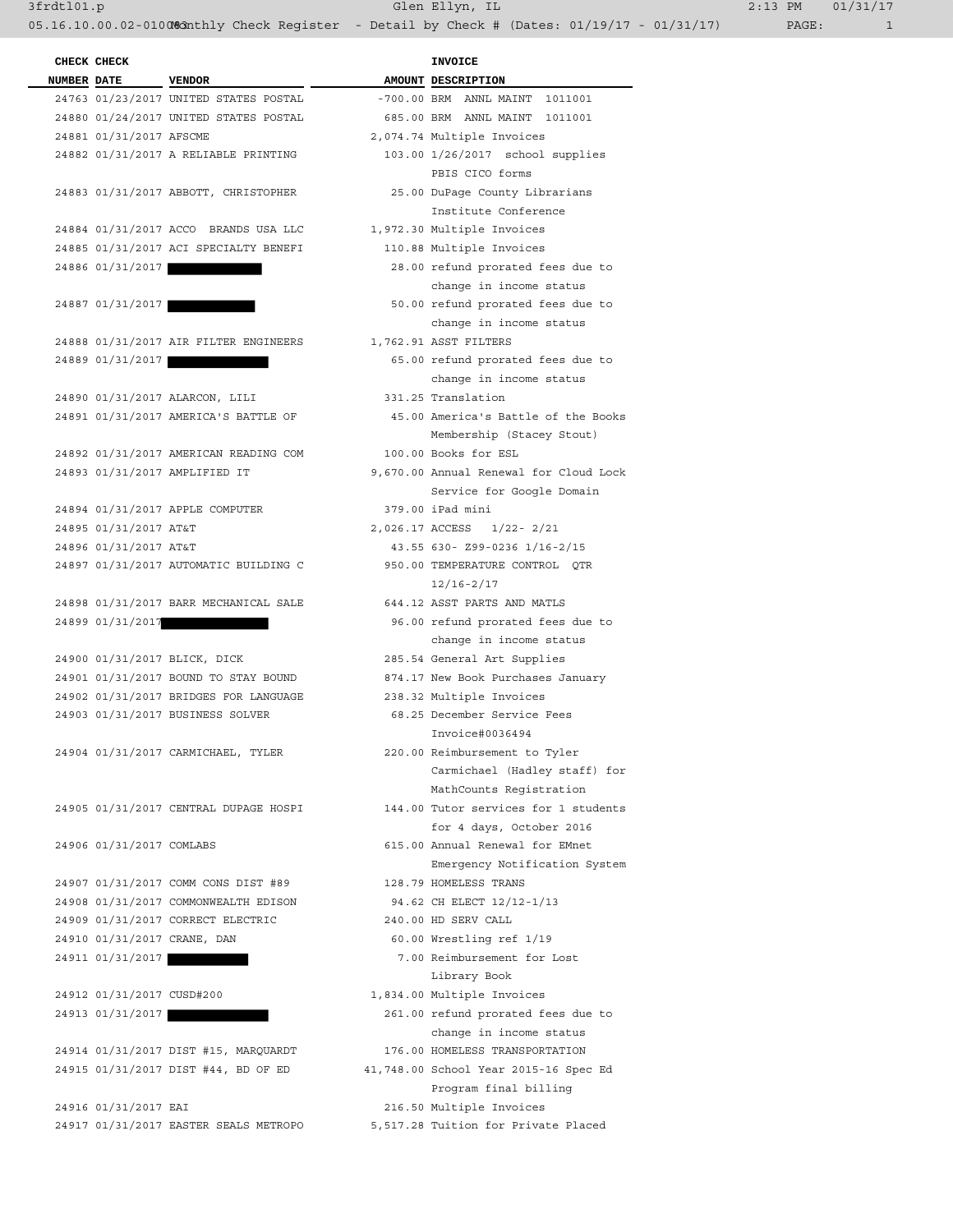**CHECK CHECK CHECK NUMBER DATE** VENDOR **AMOUNT** DESCRIPTION 24763 01/23/2017 UNITED STATES POSTAL -700.00 BRM ANNL MAINT 1011001 24880 01/24/2017 UNITED STATES POSTAL 24881 01/31/2017 AFSCME 24882 01/31/2017 A RELIABLE PRINTING PBIS CICO forms 24883 01/31/2017 ABBOTT, CHRISTOPHER Institute Conference 24884 01/31/2017 ACCO BRANDS USA LLC 24885 01/31/2017 ACI SPECIALTY BENEFI 24886 01/31/2017 change in income status  $\Box$ 24887 01/31/2017 change in income status  $\Box$ 24888 01/31/2017 AIR FILTER ENGINEERS 24889 01/31/2017 change in income status  $\Box$ 24890 01/31/2017 ALARCON, LILI 24891 01/31/2017 AMERICA'S BATTLE OF Membership (Stacey Stout) 24892 01/31/2017 AMERICAN READING COM 24893 01/31/2017 AMPLIFIED IT Service for Google Domain 24894 01/31/2017 APPLE COMPUTER 24895 01/31/2017 AT&T 24896 01/31/2017 AT&T 24897 01/31/2017 AUTOMATIC BUILDING C  $12/16-2/17$ 24898 01/31/2017 BARR MECHANICAL SALE 24899 01/31/2017 change in income status  $\Box$ 24900 01/31/2017 BLICK, DICK 24901 01/31/2017 BOUND TO STAY BOUND 24902 01/31/2017 BRIDGES FOR LANGUAGE 24903 01/31/2017 BUSINESS SOLVER Invoice#0036494 24904 01/31/2017 CARMICHAEL, TYLER Carmichael (Hadley staff) for MathCounts Registration 24905 01/31/2017 CENTRAL DUPAGE HOSPI for 4 days, October 2016 24906 01/31/2017 COMLABS Emergency Notification System 24907 01/31/2017 COMM CONS DIST #89 24908 01/31/2017 COMMONWEALTH EDISON 24909 01/31/2017 CORRECT ELECTRIC 24910 01/31/2017 CRANE, DAN 24911 01/31/2017 Library Book 24912 01/31/2017 CUSD#200 24913 01/31/2017 change in income status  $\Box$ 24914 01/31/2017 DIST #15, MARQUARDT 24915 01/31/2017 DIST #44, BD OF ED Program final billing 24916 01/31/2017 EAI 24917 01/31/2017 EASTER SEALS METROPO

| 685.00 BRM ANNL MAINT 1011001          |
|----------------------------------------|
| 2,074.74 Multiple Invoices             |
| 103.00 1/26/2017 school supplies       |
| PBIS CICO forms                        |
| 25.00 DuPage County Librarians         |
| Institute Conference                   |
| 1,972.30 Multiple Invoices             |
| 110.88 Multiple Invoices               |
| 28.00 refund prorated fees due to      |
| change in income status                |
| 50.00 refund prorated fees due to      |
| change in income status                |
| 1,762.91 ASST FILTERS                  |
| 65.00 refund prorated fees due to      |
| change in income status                |
| 331.25 Translation                     |
| 45.00 America's Battle of the Books    |
| Membership (Stacey Stout)              |
| 100.00 Books for ESL                   |
| 9,670.00 Annual Renewal for Cloud Lock |
| Service for Google Domain              |
| 379.00 iPad mini                       |
| 2,026.17 ACCESS 1/22-2/21              |
| 43.55 630- Z99-0236 1/16-2/15          |
| 950.00 TEMPERATURE CONTROL QTR         |
| $12/16 - 2/17$                         |
| 644.12 ASST PARTS AND MATLS            |
| 96.00 refund prorated fees due to      |
| change in income status                |
| 285.54 General Art Supplies            |
| 874.17 New Book Purchases January      |
| 238.32 Multiple Invoices               |
| 68.25 December Service Fees            |
| Invoice#0036494                        |
| 220.00 Reimbursement to Tyler          |
| Carmichael (Hadley staff) for          |
| MathCounts Registration                |
| 144.00 Tutor services for 1 students   |
| for 4 days, October 2016               |
| 615.00 Annual Renewal for EMnet        |
| Emergency Notification System          |
| 128.79 HOMELESS TRANS                  |
| 94.62 CH ELECT 12/12-1/13              |
| 240.00 HD SERV CALL                    |
| 60.00 Wrestling ref 1/19               |
| 7.00 Reimbursement for Lost            |
| Library Book                           |
| 1,834.00 Multiple Invoices             |
| 261.00 refund prorated fees due to     |
| change in income status                |
| 176.00 HOMELESS TRANSPORTATION         |
| 11,748.00 School Year 2015-16 Spec Ed  |
| Program final billing                  |
| 216.50 Multiple Invoices               |
| 5,517.28 Tuition for Private Placed    |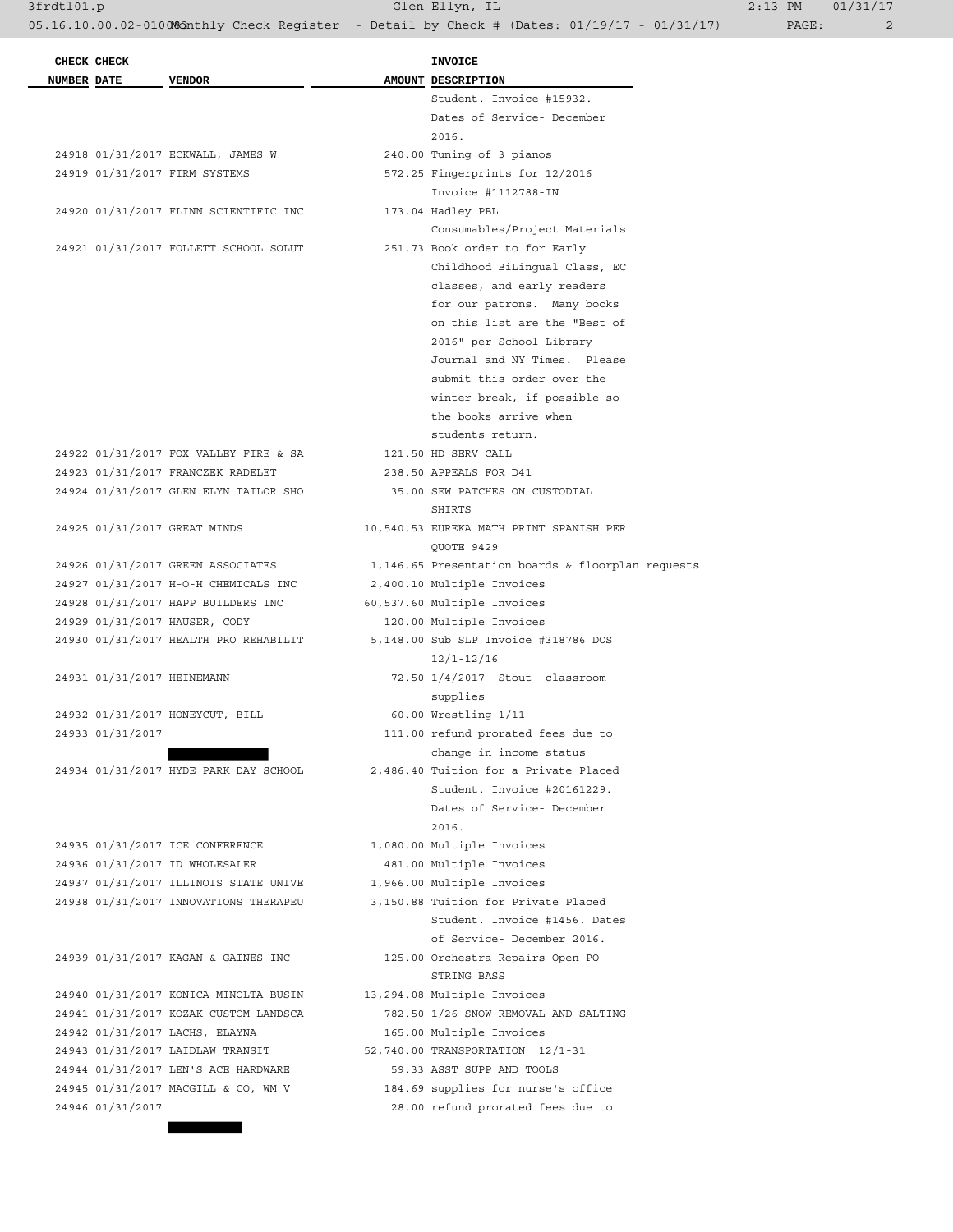05.16.10.00.02-010083 athly Check Register - Detail by Check # (Dates: 01/19/17 - 01/31/17) PAGE: 2

3frdtl01.p Glen Ellyn, IL 2:13 PM 01/31/17

|             | CHECK CHECK                         |                                       | <b>INVOICE</b>                                    |
|-------------|-------------------------------------|---------------------------------------|---------------------------------------------------|
| NUMBER DATE |                                     | <b>VENDOR</b>                         | AMOUNT DESCRIPTION                                |
|             |                                     |                                       | Student. Invoice #15932.                          |
|             |                                     |                                       | Dates of Service- December<br>2016.               |
|             |                                     | 24918 01/31/2017 ECKWALL, JAMES W     | 240.00 Tuning of 3 pianos                         |
|             |                                     | 24919 01/31/2017 FIRM SYSTEMS         | 572.25 Fingerprints for 12/2016                   |
|             |                                     |                                       | Invoice #1112788-IN                               |
|             |                                     | 24920 01/31/2017 FLINN SCIENTIFIC INC | 173.04 Hadley PBL                                 |
|             |                                     |                                       | Consumables/Project Materials                     |
|             |                                     | 24921 01/31/2017 FOLLETT SCHOOL SOLUT | 251.73 Book order to for Early                    |
|             |                                     |                                       | Childhood BiLingual Class, EC                     |
|             |                                     |                                       | classes, and early readers                        |
|             |                                     |                                       |                                                   |
|             |                                     |                                       | for our patrons. Many books                       |
|             |                                     |                                       | on this list are the "Best of                     |
|             |                                     |                                       | 2016" per School Library                          |
|             |                                     |                                       | Journal and NY Times. Please                      |
|             |                                     |                                       | submit this order over the                        |
|             |                                     |                                       | winter break, if possible so                      |
|             |                                     |                                       | the books arrive when                             |
|             |                                     |                                       | students return.                                  |
|             |                                     | 24922 01/31/2017 FOX VALLEY FIRE & SA | 121.50 HD SERV CALL                               |
|             |                                     | 24923 01/31/2017 FRANCZEK RADELET     | 238.50 APPEALS FOR D41                            |
|             |                                     | 24924 01/31/2017 GLEN ELYN TAILOR SHO | 35.00 SEW PATCHES ON CUSTODIAL<br>SHIRTS          |
|             |                                     | 24925 01/31/2017 GREAT MINDS          | 10,540.53 EUREKA MATH PRINT SPANISH PER           |
|             |                                     |                                       | QUOTE 9429                                        |
|             |                                     | 24926 01/31/2017 GREEN ASSOCIATES     | 1,146.65 Presentation boards & floorplan requests |
|             |                                     | 24927 01/31/2017 H-O-H CHEMICALS INC  | 2,400.10 Multiple Invoices                        |
|             |                                     | 24928 01/31/2017 HAPP BUILDERS INC    | 60,537.60 Multiple Invoices                       |
|             |                                     | 24929 01/31/2017 HAUSER, CODY         | 120.00 Multiple Invoices                          |
|             |                                     | 24930 01/31/2017 HEALTH PRO REHABILIT | 5,148.00 Sub SLP Invoice #318786 DOS              |
|             |                                     |                                       | $12/1 - 12/16$                                    |
|             | 24931 01/31/2017 HEINEMANN          |                                       | 72.50 1/4/2017 Stout classroom                    |
|             |                                     |                                       | supplies                                          |
|             |                                     | 24932 01/31/2017 HONEYCUT, BILL       | 60.00 Wrestling 1/11                              |
|             | 24933 01/31/2017                    |                                       | 111.00 refund prorated fees due to                |
|             |                                     |                                       | change in income status                           |
|             |                                     | 24934 01/31/2017 HYDE PARK DAY SCHOOL | 2,486.40 Tuition for a Private Placed             |
|             |                                     |                                       | Student. Invoice #20161229.                       |
|             |                                     |                                       | Dates of Service- December                        |
|             |                                     |                                       | 2016.                                             |
|             |                                     |                                       |                                                   |
|             |                                     | 24935 01/31/2017 ICE CONFERENCE       | 1,080.00 Multiple Invoices                        |
|             |                                     | 24936 01/31/2017 ID WHOLESALER        | 481.00 Multiple Invoices                          |
|             |                                     | 24937 01/31/2017 ILLINOIS STATE UNIVE | 1,966.00 Multiple Invoices                        |
|             |                                     | 24938 01/31/2017 INNOVATIONS THERAPEU | 3,150.88 Tuition for Private Placed               |
|             |                                     |                                       | Student. Invoice #1456. Dates                     |
|             |                                     |                                       | of Service- December 2016.                        |
|             |                                     |                                       | 125.00 Orchestra Repairs Open PO                  |
|             | 24939 01/31/2017 KAGAN & GAINES INC |                                       | STRING BASS                                       |
|             |                                     | 24940 01/31/2017 KONICA MINOLTA BUSIN | 13,294.08 Multiple Invoices                       |
|             |                                     | 24941 01/31/2017 KOZAK CUSTOM LANDSCA | 782.50 1/26 SNOW REMOVAL AND SALTING              |
|             |                                     | 24942 01/31/2017 LACHS, ELAYNA        | 165.00 Multiple Invoices                          |
|             |                                     | 24943 01/31/2017 LAIDLAW TRANSIT      | 52,740.00 TRANSPORTATION 12/1-31                  |
|             |                                     | 24944 01/31/2017 LEN'S ACE HARDWARE   | 59.33 ASST SUPP AND TOOLS                         |
|             |                                     | 24945 01/31/2017 MACGILL & CO, WM V   | 184.69 supplies for nurse's office                |
|             | 24946 01/31/2017                    |                                       | 28.00 refund prorated fees due to                 |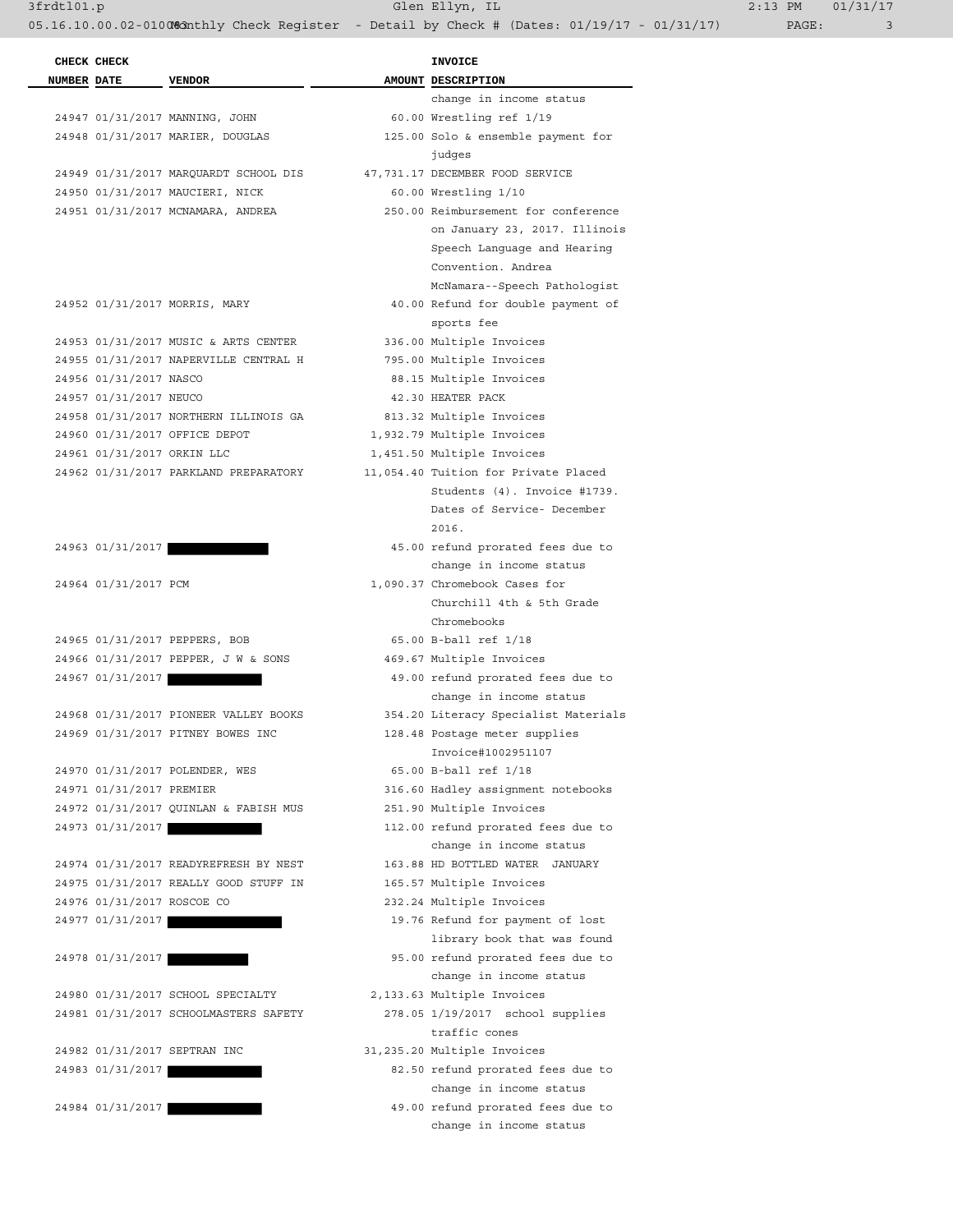3frdtl01.p Glen Ellyn, IL 2:13 PM 01/31/17

|                    | CHECK CHECK                |                                       | <b>INVOICE</b> |                                      |  |
|--------------------|----------------------------|---------------------------------------|----------------|--------------------------------------|--|
| <b>NUMBER DATE</b> |                            | <b>VENDOR</b>                         |                | AMOUNT DESCRIPTION                   |  |
|                    |                            |                                       |                | change in income status              |  |
|                    |                            | 24947 01/31/2017 MANNING, JOHN        |                | 60.00 Wrestling ref 1/19             |  |
|                    |                            | 24948 01/31/2017 MARIER, DOUGLAS      |                | 125.00 Solo & ensemble payment for   |  |
|                    |                            |                                       |                | judges                               |  |
|                    |                            | 24949 01/31/2017 MARQUARDT SCHOOL DIS |                | 47,731.17 DECEMBER FOOD SERVICE      |  |
|                    |                            | 24950 01/31/2017 MAUCIERI, NICK       |                | 60.00 Wrestling 1/10                 |  |
|                    |                            | 24951 01/31/2017 MCNAMARA, ANDREA     |                | 250.00 Reimbursement for conference  |  |
|                    |                            |                                       |                | on January 23, 2017. Illinois        |  |
|                    |                            |                                       |                | Speech Language and Hearing          |  |
|                    |                            |                                       |                | Convention. Andrea                   |  |
|                    |                            |                                       |                | McNamara--Speech Pathologist         |  |
|                    |                            | 24952 01/31/2017 MORRIS, MARY         |                | 40.00 Refund for double payment of   |  |
|                    |                            |                                       |                | sports fee                           |  |
|                    |                            | 24953 01/31/2017 MUSIC & ARTS CENTER  |                | 336.00 Multiple Invoices             |  |
|                    |                            | 24955 01/31/2017 NAPERVILLE CENTRAL H |                | 795.00 Multiple Invoices             |  |
|                    | 24956 01/31/2017 NASCO     |                                       |                | 88.15 Multiple Invoices              |  |
|                    | 24957 01/31/2017 NEUCO     |                                       |                | 42.30 HEATER PACK                    |  |
|                    |                            | 24958 01/31/2017 NORTHERN ILLINOIS GA |                | 813.32 Multiple Invoices             |  |
|                    |                            | 24960 01/31/2017 OFFICE DEPOT         |                | 1,932.79 Multiple Invoices           |  |
|                    | 24961 01/31/2017 ORKIN LLC |                                       |                | 1,451.50 Multiple Invoices           |  |
|                    |                            | 24962 01/31/2017 PARKLAND PREPARATORY |                | 11,054.40 Tuition for Private Placed |  |
|                    |                            |                                       |                | Students (4). Invoice #1739.         |  |
|                    |                            |                                       |                | Dates of Service- December           |  |
|                    |                            |                                       |                | 2016.                                |  |
|                    | 24963 01/31/2017           |                                       |                | 45.00 refund prorated fees due to    |  |
|                    |                            |                                       |                | change in income status              |  |
|                    | 24964 01/31/2017 PCM       |                                       |                | 1,090.37 Chromebook Cases for        |  |
|                    |                            |                                       |                | Churchill 4th & 5th Grade            |  |
|                    |                            |                                       |                | Chromebooks                          |  |
|                    |                            | 24965 01/31/2017 PEPPERS, BOB         |                | 65.00 B-ball ref 1/18                |  |
|                    |                            | 24966 01/31/2017 PEPPER, J W & SONS   |                | 469.67 Multiple Invoices             |  |
|                    | 24967 01/31/2017           |                                       |                | 49.00 refund prorated fees due to    |  |
|                    |                            |                                       |                | change in income status              |  |
|                    |                            | 24968 01/31/2017 PIONEER VALLEY BOOKS |                | 354.20 Literacy Specialist Materials |  |
|                    |                            | 24969 01/31/2017 PITNEY BOWES INC     |                | 128.48 Postage meter supplies        |  |
|                    |                            |                                       |                | Invoice#1002951107                   |  |
|                    |                            | 24970 01/31/2017 POLENDER, WES        |                | 65.00 B-ball ref 1/18                |  |
|                    | 24971 01/31/2017 PREMIER   |                                       |                | 316.60 Hadley assignment notebooks   |  |
|                    |                            | 24972 01/31/2017 QUINLAN & FABISH MUS |                | 251.90 Multiple Invoices             |  |
|                    | 24973 01/31/2017           |                                       |                | 112.00 refund prorated fees due to   |  |
|                    |                            |                                       |                | change in income status              |  |
|                    |                            | 24974 01/31/2017 READYREFRESH BY NEST |                | 163.88 HD BOTTLED WATER JANUARY      |  |
|                    |                            | 24975 01/31/2017 REALLY GOOD STUFF IN |                | 165.57 Multiple Invoices             |  |
|                    | 24976 01/31/2017 ROSCOE CO |                                       |                | 232.24 Multiple Invoices             |  |
|                    | 24977 01/31/2017           |                                       |                | 19.76 Refund for payment of lost     |  |
|                    |                            |                                       |                | library book that was found          |  |
|                    | 24978 01/31/2017           |                                       |                | 95.00 refund prorated fees due to    |  |
|                    |                            |                                       |                | change in income status              |  |
|                    |                            | 24980 01/31/2017 SCHOOL SPECIALTY     |                | 2,133.63 Multiple Invoices           |  |
|                    |                            | 24981 01/31/2017 SCHOOLMASTERS SAFETY |                | 278.05 1/19/2017 school supplies     |  |
|                    |                            |                                       |                | traffic cones                        |  |
|                    |                            | 24982 01/31/2017 SEPTRAN INC          |                | 31,235.20 Multiple Invoices          |  |
|                    | 24983 01/31/2017           |                                       |                | 82.50 refund prorated fees due to    |  |
|                    |                            |                                       |                | change in income status              |  |
|                    | 24984 01/31/2017           |                                       |                | 49.00 refund prorated fees due to    |  |
|                    |                            |                                       |                | change in income status              |  |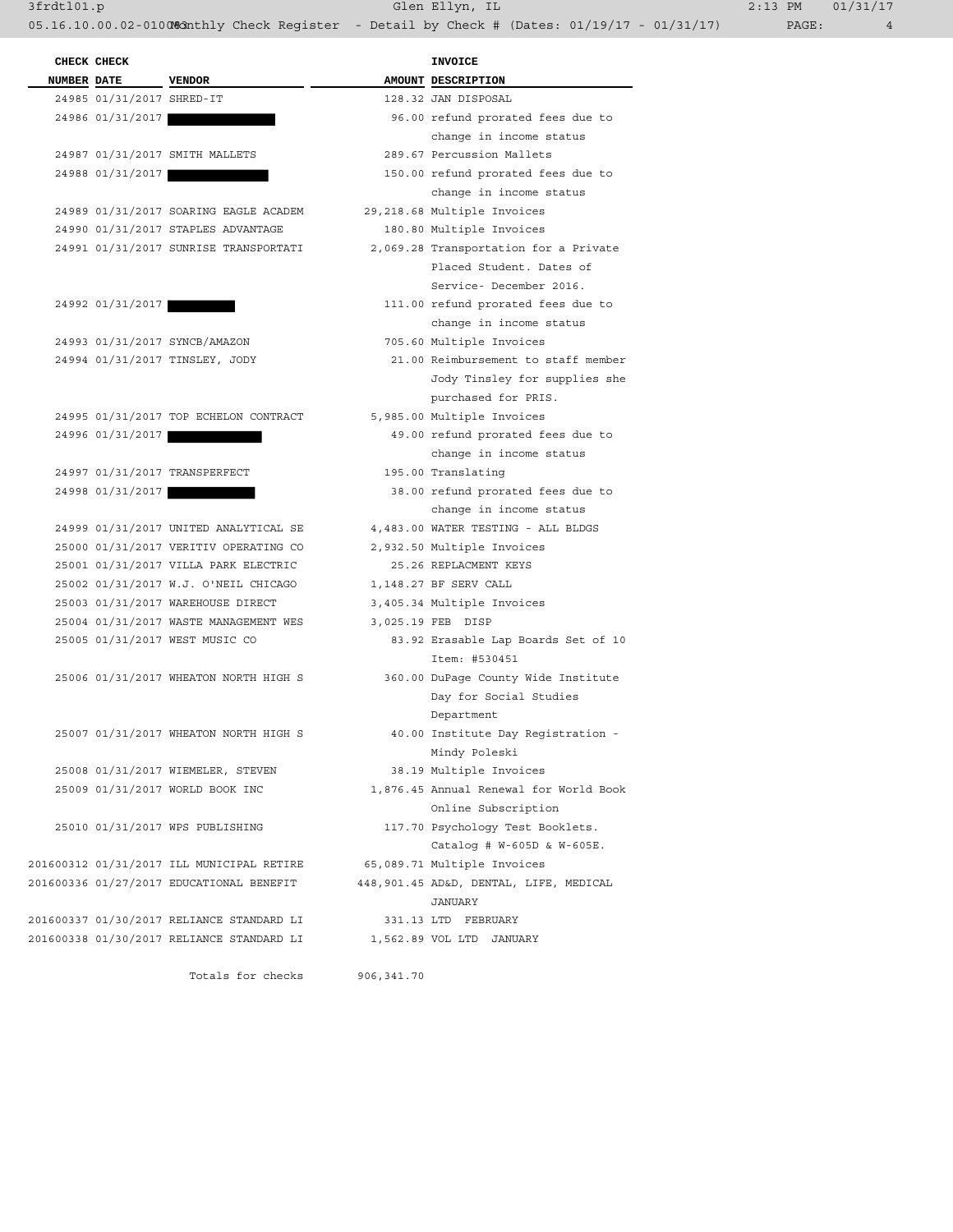3frdtl01.p Glen Ellyn, IL 2:13 PM 01/31/17

05.16.10.00.02-010083 Monthly Check Register - Detail by Check # (Dates: 01/19/17 - 01/31/17) PAGE: 4

**CHECK CHECK INVOICE NUMBER DATE** VENDOR **AMOUNT** DESCRIPTION 24985 01/31/2017 SHRED-IT 128.32 JAN DISPOSAL 24986 01/31/2017 96.00 refund prorated fees due to 24987 01/31/2017 SMITH MALLETS 289.67 Percussion Mallets 24988 01/31/2017 150.00 refund prorated fees due to 24989 01/31/2017 SOARING EAGLE ACADEM 29,218.68 Multiple Invoices 24990 01/31/2017 STAPLES ADVANTAGE 180.80 Multiple Invoices 24991 01/31/2017 SUNRISE TRANSPORTATI 2,069.28 Transportation for a Private 24992 01/31/2017 111.00 refund prorated fees due to 24993 01/31/2017 SYNCB/AMAZON 705.60 Multiple Invoices 24994 01/31/2017 TINSLEY, JODY 21.00 Reimbursement to staff member 24995 01/31/2017 TOP ECHELON CONTRACT 5,985.00 Multiple Invoices 24996 01/31/2017 49.00 refund prorated fees due to 24997 01/31/2017 TRANSPERFECT 195.00 Translating 24998 01/31/2017 38.00 refund prorated fees due to 24999 01/31/2017 UNITED ANALYTICAL SE 4,483.00 WATER TESTING - ALL BLDGS 25000 01/31/2017 VERITIV OPERATING CO 2,932.50 Multiple Invoices 25001 01/31/2017 VILLA PARK ELECTRIC 25.26 REPLACMENT KEYS 25002 01/31/2017 W.J. O'NEIL CHICAGO 1,148.27 BF SERV CALL 25003 01/31/2017 WAREHOUSE DIRECT 3,405.34 Multiple Invoices 25004 01/31/2017 WASTE MANAGEMENT WES 3,025.19 FEB DISP 25005 01/31/2017 WEST MUSIC CO 83.92 Erasable Lap Boards Set of 10 25006 01/31/2017 WHEATON NORTH HIGH S 360.00 DuPage County Wide Institute 25007 01/31/2017 WHEATON NORTH HIGH S 40.00 Institute Day Registration - 25008 01/31/2017 WIEMELER, STEVEN 38.19 Multiple Invoices 25009 01/31/2017 WORLD BOOK INC 1,876.45 Annual Renewal for World Book 25010 01/31/2017 WPS PUBLISHING 117.70 Psychology Test Booklets. 201600312 01/31/2017 ILL MUNICIPAL RETIRE 65,089.71 Multiple Invoices 201600336 01/27/2017 EDUCATIONAL BENEFIT 448,901.45 AD&D, DENTAL, LIFE, MEDICAL JANUARY 201600337 01/30/2017 RELIANCE STANDARD LI 331.13 LTD FEBRUARY 201600338 01/30/2017 RELIANCE STANDARD LI 1,562.89 VOL LTD JANUARY

Totals for checks 906,341.70

 change in income status change in income status Placed Student. Dates of Service- December 2016. change in income status Jody Tinsley for supplies she purchased for PRIS. change in income status change in income status Item: #530451 Day for Social Studies Department Mindy Poleski Online Subscription Catalog # W-605D & W-605E.